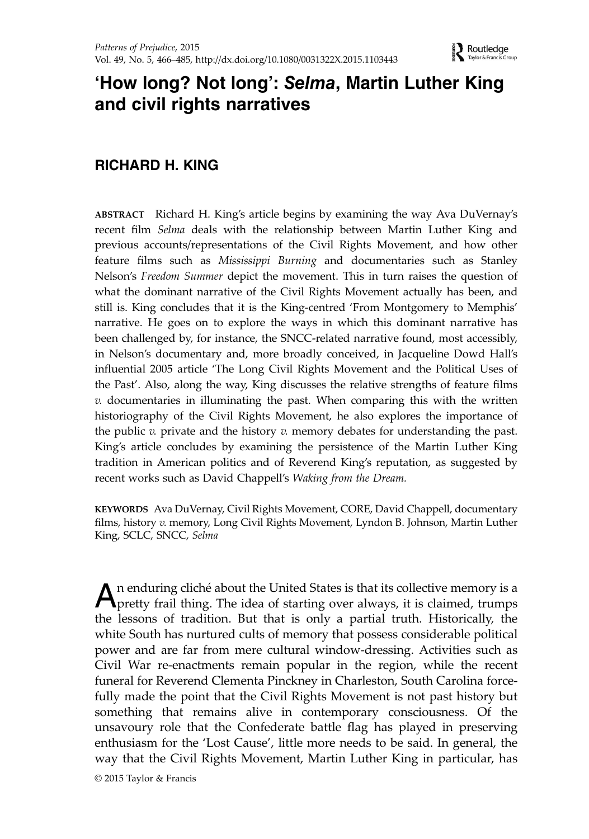# 'How long? Not long': Selma, Martin Luther King and civil rights narratives

## RICHARD H. KING

ABSTRACT Richard H. King's article begins by examining the way Ava DuVernay's recent film Selma deals with the relationship between Martin Luther King and previous accounts/representations of the Civil Rights Movement, and how other feature films such as Mississippi Burning and documentaries such as Stanley Nelson's Freedom Summer depict the movement. This in turn raises the question of what the dominant narrative of the Civil Rights Movement actually has been, and still is. King concludes that it is the King-centred 'From Montgomery to Memphis' narrative. He goes on to explore the ways in which this dominant narrative has been challenged by, for instance, the SNCC-related narrative found, most accessibly, in Nelson's documentary and, more broadly conceived, in Jacqueline Dowd Hall's influential 2005 article 'The Long Civil Rights Movement and the Political Uses of the Past'. Also, along the way, King discusses the relative strengths of feature films  $v.$  documentaries in illuminating the past. When comparing this with the written historiography of the Civil Rights Movement, he also explores the importance of the public  $v$ . private and the history  $v$ . memory debates for understanding the past. King's article concludes by examining the persistence of the Martin Luther King tradition in American politics and of Reverend King's reputation, as suggested by recent works such as David Chappell's Waking from the Dream.

KEYWORDS Ava DuVernay, Civil Rights Movement, CORE, David Chappell, documentary films, history v. memory, Long Civil Rights Movement, Lyndon B. Johnson, Martin Luther King, SCLC, SNCC, Selma

An enduring cliché about the United States is that its collective memory is a pretty frail thing. The idea of starting over always, it is claimed, trumps the lessons of tradition. But that is only a partial truth. Historically, the white South has nurtured cults of memory that possess considerable political power and are far from mere cultural window-dressing. Activities such as Civil War re-enactments remain popular in the region, while the recent funeral for Reverend Clementa Pinckney in Charleston, South Carolina forcefully made the point that the Civil Rights Movement is not past history but something that remains alive in contemporary consciousness. Of the unsavoury role that the Confederate battle flag has played in preserving enthusiasm for the 'Lost Cause', little more needs to be said. In general, the way that the Civil Rights Movement, Martin Luther King in particular, has

© 2015 Taylor & Francis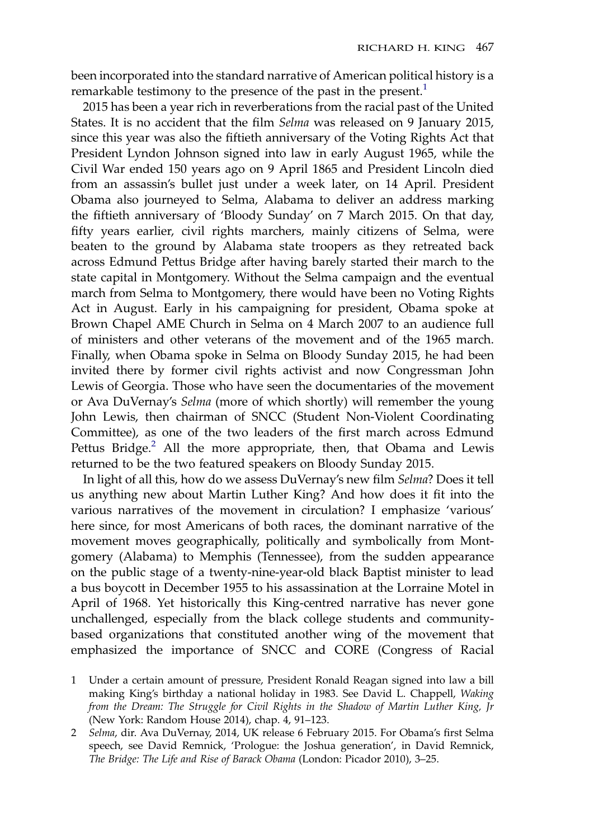been incorporated into the standard narrative of American political history is a remarkable testimony to the presence of the past in the present.<sup>1</sup>

2015 has been a year rich in reverberations from the racial past of the United States. It is no accident that the film Selma was released on 9 January 2015, since this year was also the fiftieth anniversary of the Voting Rights Act that President Lyndon Johnson signed into law in early August 1965, while the Civil War ended 150 years ago on 9 April 1865 and President Lincoln died from an assassin's bullet just under a week later, on 14 April. President Obama also journeyed to Selma, Alabama to deliver an address marking the fiftieth anniversary of 'Bloody Sunday' on 7 March 2015. On that day, fifty years earlier, civil rights marchers, mainly citizens of Selma, were beaten to the ground by Alabama state troopers as they retreated back across Edmund Pettus Bridge after having barely started their march to the state capital in Montgomery. Without the Selma campaign and the eventual march from Selma to Montgomery, there would have been no Voting Rights Act in August. Early in his campaigning for president, Obama spoke at Brown Chapel AME Church in Selma on 4 March 2007 to an audience full of ministers and other veterans of the movement and of the 1965 march. Finally, when Obama spoke in Selma on Bloody Sunday 2015, he had been invited there by former civil rights activist and now Congressman John Lewis of Georgia. Those who have seen the documentaries of the movement or Ava DuVernay's Selma (more of which shortly) will remember the young John Lewis, then chairman of SNCC (Student Non-Violent Coordinating Committee), as one of the two leaders of the first march across Edmund Pettus Bridge.<sup>2</sup> All the more appropriate, then, that Obama and Lewis returned to be the two featured speakers on Bloody Sunday 2015.

In light of all this, how do we assess DuVernay's new film Selma? Does it tell us anything new about Martin Luther King? And how does it fit into the various narratives of the movement in circulation? I emphasize 'various' here since, for most Americans of both races, the dominant narrative of the movement moves geographically, politically and symbolically from Montgomery (Alabama) to Memphis (Tennessee), from the sudden appearance on the public stage of a twenty-nine-year-old black Baptist minister to lead a bus boycott in December 1955 to his assassination at the Lorraine Motel in April of 1968. Yet historically this King-centred narrative has never gone unchallenged, especially from the black college students and communitybased organizations that constituted another wing of the movement that emphasized the importance of SNCC and CORE (Congress of Racial

- 1 Under a certain amount of pressure, President Ronald Reagan signed into law a bill making King's birthday a national holiday in 1983. See David L. Chappell, Waking from the Dream: The Struggle for Civil Rights in the Shadow of Martin Luther King, Jr (New York: Random House 2014), chap. 4, 91–123.
- 2 Selma, dir. Ava DuVernay, 2014, UK release 6 February 2015. For Obama's first Selma speech, see David Remnick, 'Prologue: the Joshua generation', in David Remnick, The Bridge: The Life and Rise of Barack Obama (London: Picador 2010), 3–25.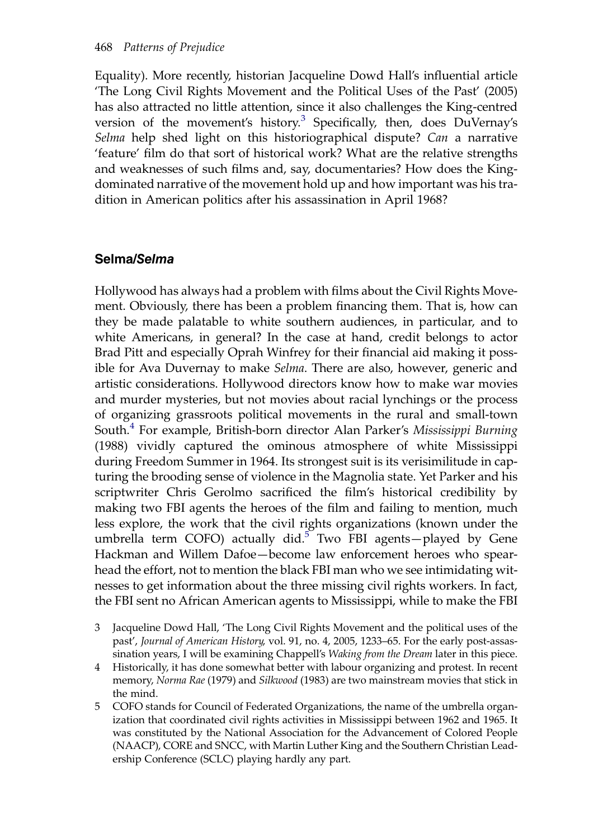Equality). More recently, historian Jacqueline Dowd Hall's influential article 'The Long Civil Rights Movement and the Political Uses of the Past' (2005) has also attracted no little attention, since it also challenges the King-centred version of the movement's history.<sup>3</sup> Specifically, then, does DuVernay's Selma help shed light on this historiographical dispute? Can a narrative 'feature' film do that sort of historical work? What are the relative strengths and weaknesses of such films and, say, documentaries? How does the Kingdominated narrative of the movement hold up and how important was his tradition in American politics after his assassination in April 1968?

### Selma/Selma

Hollywood has always had a problem with films about the Civil Rights Movement. Obviously, there has been a problem financing them. That is, how can they be made palatable to white southern audiences, in particular, and to white Americans, in general? In the case at hand, credit belongs to actor Brad Pitt and especially Oprah Winfrey for their financial aid making it possible for Ava Duvernay to make Selma. There are also, however, generic and artistic considerations. Hollywood directors know how to make war movies and murder mysteries, but not movies about racial lynchings or the process of organizing grassroots political movements in the rural and small-town South.<sup>4</sup> For example, British-born director Alan Parker's Mississippi Burning (1988) vividly captured the ominous atmosphere of white Mississippi during Freedom Summer in 1964. Its strongest suit is its verisimilitude in capturing the brooding sense of violence in the Magnolia state. Yet Parker and his scriptwriter Chris Gerolmo sacrificed the film's historical credibility by making two FBI agents the heroes of the film and failing to mention, much less explore, the work that the civil rights organizations (known under the umbrella term COFO) actually did.<sup>5</sup> Two FBI agents—played by Gene Hackman and Willem Dafoe—become law enforcement heroes who spearhead the effort, not to mention the black FBI man who we see intimidating witnesses to get information about the three missing civil rights workers. In fact, the FBI sent no African American agents to Mississippi, while to make the FBI

- 3 Jacqueline Dowd Hall, 'The Long Civil Rights Movement and the political uses of the past', Journal of American History, vol. 91, no. 4, 2005, 1233–65. For the early post-assassination years, I will be examining Chappell's Waking from the Dream later in this piece.
- 4 Historically, it has done somewhat better with labour organizing and protest. In recent memory, Norma Rae (1979) and Silkwood (1983) are two mainstream movies that stick in the mind.
- 5 COFO stands for Council of Federated Organizations, the name of the umbrella organization that coordinated civil rights activities in Mississippi between 1962 and 1965. It was constituted by the National Association for the Advancement of Colored People (NAACP), CORE and SNCC, with Martin Luther King and the Southern Christian Leadership Conference (SCLC) playing hardly any part.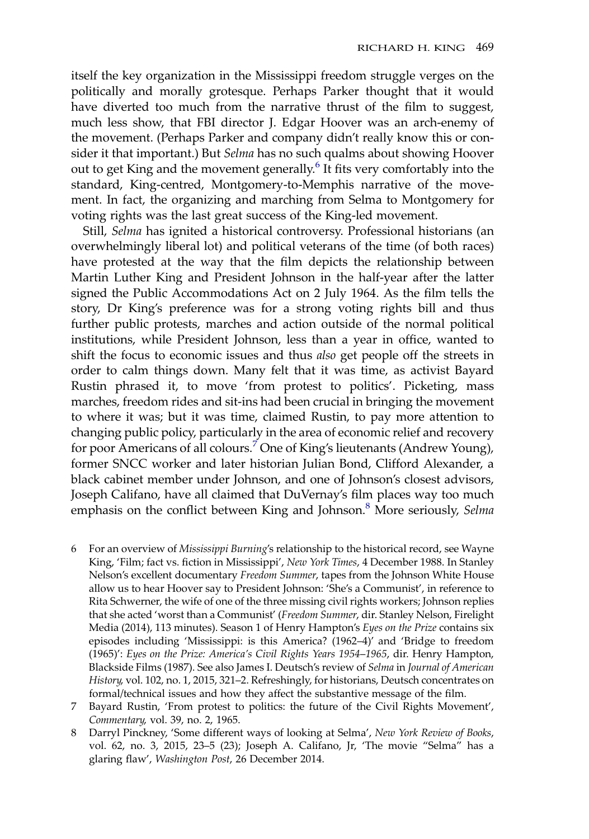itself the key organization in the Mississippi freedom struggle verges on the politically and morally grotesque. Perhaps Parker thought that it would have diverted too much from the narrative thrust of the film to suggest, much less show, that FBI director J. Edgar Hoover was an arch-enemy of the movement. (Perhaps Parker and company didn't really know this or consider it that important.) But Selma has no such qualms about showing Hoover out to get King and the movement generally.<sup>6</sup> It fits very comfortably into the standard, King-centred, Montgomery-to-Memphis narrative of the movement. In fact, the organizing and marching from Selma to Montgomery for voting rights was the last great success of the King-led movement.

Still, Selma has ignited a historical controversy. Professional historians (an overwhelmingly liberal lot) and political veterans of the time (of both races) have protested at the way that the film depicts the relationship between Martin Luther King and President Johnson in the half-year after the latter signed the Public Accommodations Act on 2 July 1964. As the film tells the story, Dr King's preference was for a strong voting rights bill and thus further public protests, marches and action outside of the normal political institutions, while President Johnson, less than a year in office, wanted to shift the focus to economic issues and thus also get people off the streets in order to calm things down. Many felt that it was time, as activist Bayard Rustin phrased it, to move 'from protest to politics'. Picketing, mass marches, freedom rides and sit-ins had been crucial in bringing the movement to where it was; but it was time, claimed Rustin, to pay more attention to changing public policy, particularly in the area of economic relief and recovery for poor Americans of all colours.<sup>7</sup> One of King's lieutenants (Andrew Young), former SNCC worker and later historian Julian Bond, Clifford Alexander, a black cabinet member under Johnson, and one of Johnson's closest advisors, Joseph Califano, have all claimed that DuVernay's film places way too much emphasis on the conflict between King and Johnson.<sup>8</sup> More seriously, Selma

- 6 For an overview of Mississippi Burning's relationship to the historical record, see Wayne King, 'Film; fact vs. fiction in Mississippi', New York Times, 4 December 1988. In Stanley Nelson's excellent documentary Freedom Summer, tapes from the Johnson White House allow us to hear Hoover say to President Johnson: 'She's a Communist', in reference to Rita Schwerner, the wife of one of the three missing civil rights workers; Johnson replies that she acted 'worst than a Communist' (Freedom Summer, dir. Stanley Nelson, Firelight Media (2014), 113 minutes). Season 1 of Henry Hampton's Eyes on the Prize contains six episodes including 'Mississippi: is this America? (1962–4)' and 'Bridge to freedom (1965)': Eyes on the Prize: America's Civil Rights Years 1954–1965, dir. Henry Hampton, Blackside Films (1987). See also James I. Deutsch's review of Selma in Journal of American History, vol. 102, no. 1, 2015, 321–2. Refreshingly, for historians, Deutsch concentrates on formal/technical issues and how they affect the substantive message of the film.
- 7 Bayard Rustin, 'From protest to politics: the future of the Civil Rights Movement', Commentary, vol. 39, no. 2, 1965.
- 8 Darryl Pinckney, 'Some different ways of looking at Selma', New York Review of Books, vol. 62, no. 3, 2015, 23–5 (23); Joseph A. Califano, Jr, 'The movie "Selma" has a glaring flaw', Washington Post, 26 December 2014.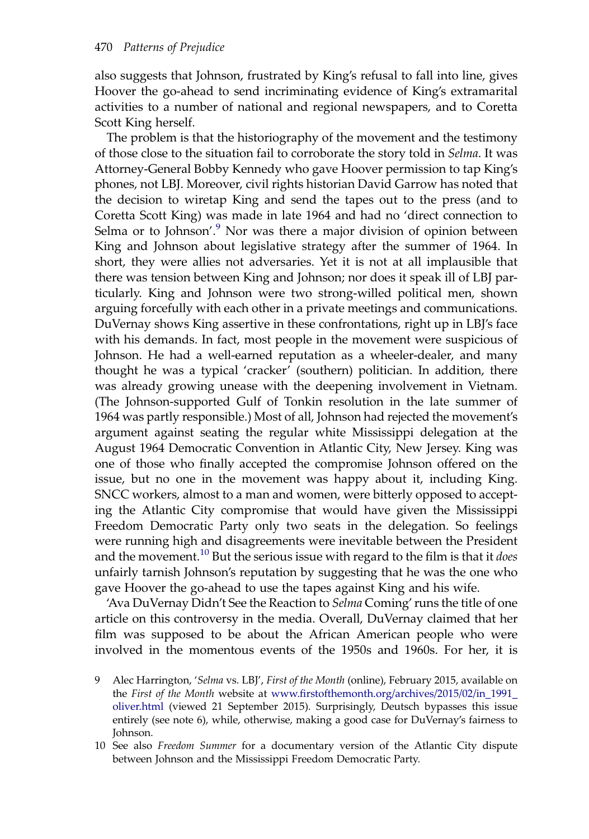also suggests that Johnson, frustrated by King's refusal to fall into line, gives Hoover the go-ahead to send incriminating evidence of King's extramarital activities to a number of national and regional newspapers, and to Coretta Scott King herself.

The problem is that the historiography of the movement and the testimony of those close to the situation fail to corroborate the story told in Selma. It was Attorney-General Bobby Kennedy who gave Hoover permission to tap King's phones, not LBJ. Moreover, civil rights historian David Garrow has noted that the decision to wiretap King and send the tapes out to the press (and to Coretta Scott King) was made in late 1964 and had no 'direct connection to Selma or to Johnson'.<sup>9</sup> Nor was there a major division of opinion between King and Johnson about legislative strategy after the summer of 1964. In short, they were allies not adversaries. Yet it is not at all implausible that there was tension between King and Johnson; nor does it speak ill of LBJ particularly. King and Johnson were two strong-willed political men, shown arguing forcefully with each other in a private meetings and communications. DuVernay shows King assertive in these confrontations, right up in LBJ's face with his demands. In fact, most people in the movement were suspicious of Johnson. He had a well-earned reputation as a wheeler-dealer, and many thought he was a typical 'cracker' (southern) politician. In addition, there was already growing unease with the deepening involvement in Vietnam. (The Johnson-supported Gulf of Tonkin resolution in the late summer of 1964 was partly responsible.) Most of all, Johnson had rejected the movement's argument against seating the regular white Mississippi delegation at the August 1964 Democratic Convention in Atlantic City, New Jersey. King was one of those who finally accepted the compromise Johnson offered on the issue, but no one in the movement was happy about it, including King. SNCC workers, almost to a man and women, were bitterly opposed to accepting the Atlantic City compromise that would have given the Mississippi Freedom Democratic Party only two seats in the delegation. So feelings were running high and disagreements were inevitable between the President and the movement.<sup>10</sup> But the serious issue with regard to the film is that it *does* unfairly tarnish Johnson's reputation by suggesting that he was the one who gave Hoover the go-ahead to use the tapes against King and his wife.

'Ava DuVernay Didn't See the Reaction to Selma Coming'runs the title of one article on this controversy in the media. Overall, DuVernay claimed that her film was supposed to be about the African American people who were involved in the momentous events of the 1950s and 1960s. For her, it is

- 9 Alec Harrington, 'Selma vs. LBJ', First of the Month (online), February 2015, available on the First of the Month website at www.fi[rstofthemonth.org/archives/2015/02/in\\_1991\\_](http://www.firstofthemonth.org/archives/2015/02/in_1991_oliver.html) [oliver.html](http://www.firstofthemonth.org/archives/2015/02/in_1991_oliver.html) (viewed 21 September 2015). Surprisingly, Deutsch bypasses this issue entirely (see note 6), while, otherwise, making a good case for DuVernay's fairness to Johnson.
- 10 See also Freedom Summer for a documentary version of the Atlantic City dispute between Johnson and the Mississippi Freedom Democratic Party.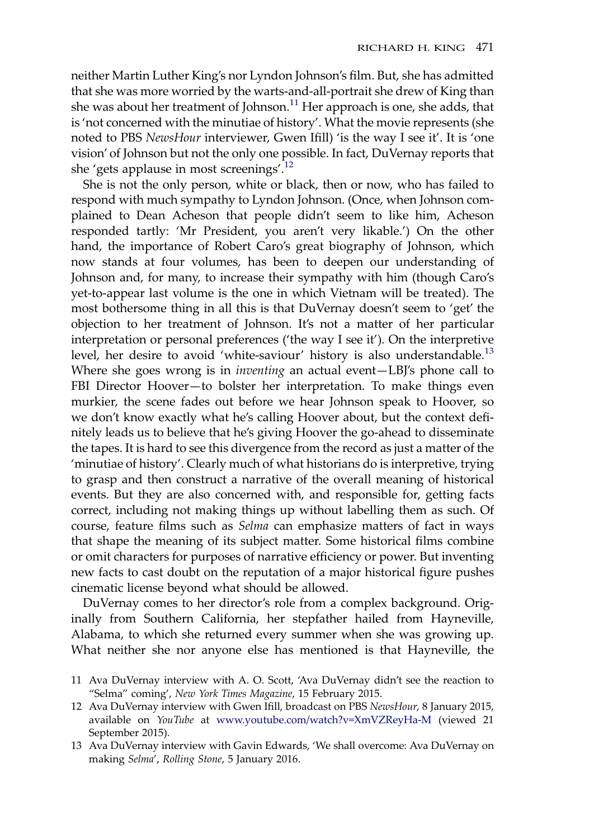neither Martin Luther King's nor Lyndon Johnson's film. But, she has admitted that she was more worried by the warts-and-all-portrait she drew of King than she was about her treatment of Johnson.<sup>11</sup> Her approach is one, she adds, that is 'not concerned with the minutiae of history'. What the movie represents (she noted to PBS NewsHour interviewer, Gwen Ifill) 'is the way I see it'. It is 'one vision' of Johnson but not the only one possible. In fact, DuVernay reports that she 'gets applause in most screenings'.<sup>12</sup>

She is not the only person, white or black, then or now, who has failed to respond with much sympathy to Lyndon Johnson. (Once, when Johnson complained to Dean Acheson that people didn't seem to like him, Acheson responded tartly: 'Mr President, you aren't very likable.') On the other hand, the importance of Robert Caro's great biography of Johnson, which now stands at four volumes, has been to deepen our understanding of Johnson and, for many, to increase their sympathy with him (though Caro's yet-to-appear last volume is the one in which Vietnam will be treated). The most bothersome thing in all this is that DuVernay doesn't seem to 'get' the objection to her treatment of Johnson. It's not a matter of her particular interpretation or personal preferences ('the way I see it'). On the interpretive level, her desire to avoid 'white-saviour' history is also understandable.<sup>13</sup> Where she goes wrong is in *inventing* an actual event-LBJ's phone call to FBI Director Hoover—to bolster her interpretation. To make things even murkier, the scene fades out before we hear Johnson speak to Hoover, so we don't know exactly what he's calling Hoover about, but the context definitely leads us to believe that he's giving Hoover the go-ahead to disseminate the tapes. It is hard to see this divergence from the record as just a matter of the 'minutiae of history'. Clearly much of what historians do is interpretive, trying to grasp and then construct a narrative of the overall meaning of historical events. But they are also concerned with, and responsible for, getting facts correct, including not making things up without labelling them as such. Of course, feature films such as Selma can emphasize matters of fact in ways that shape the meaning of its subject matter. Some historical films combine or omit characters for purposes of narrative efficiency or power. But inventing new facts to cast doubt on the reputation of a major historical figure pushes cinematic license beyond what should be allowed.

DuVernay comes to her director's role from a complex background. Originally from Southern California, her stepfather hailed from Hayneville, Alabama, to which she returned every summer when she was growing up. What neither she nor anyone else has mentioned is that Hayneville, the

- 11 Ava DuVernay interview with A. O. Scott, 'Ava DuVernay didn't see the reaction to "Selma" coming', New York Times Magazine, 15 February 2015.
- 12 Ava DuVernay interview with Gwen Ifill, broadcast on PBS NewsHour, 8 January 2015, available on YouTube at [www.youtube.com/watch?v=XmVZReyHa-M](http://www.youtube.com/watch?v=XmVZReyHa-M) (viewed 21 September 2015).

<sup>13</sup> Ava DuVernay interview with Gavin Edwards, 'We shall overcome: Ava DuVernay on making Selma', Rolling Stone, 5 January 2016.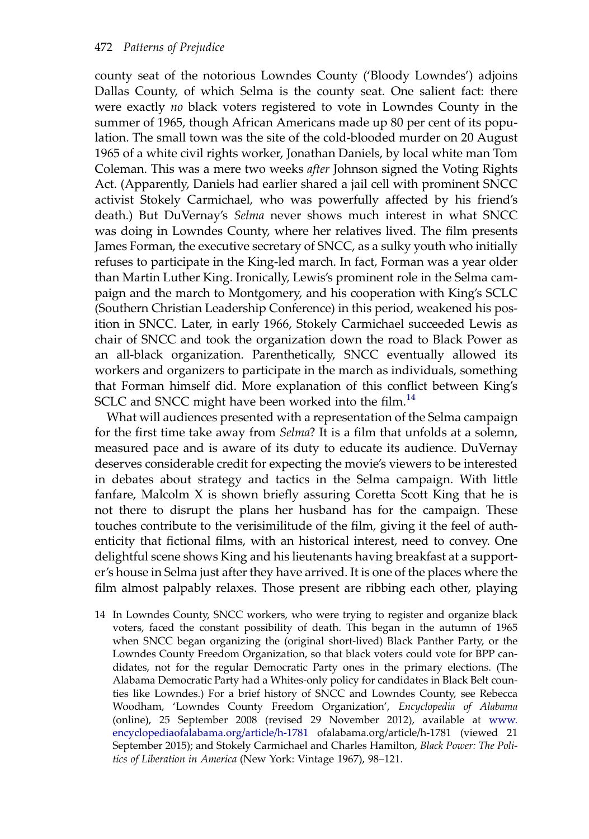county seat of the notorious Lowndes County ('Bloody Lowndes') adjoins Dallas County, of which Selma is the county seat. One salient fact: there were exactly no black voters registered to vote in Lowndes County in the summer of 1965, though African Americans made up 80 per cent of its population. The small town was the site of the cold-blooded murder on 20 August 1965 of a white civil rights worker, Jonathan Daniels, by local white man Tom Coleman. This was a mere two weeks after Johnson signed the Voting Rights Act. (Apparently, Daniels had earlier shared a jail cell with prominent SNCC activist Stokely Carmichael, who was powerfully affected by his friend's death.) But DuVernay's Selma never shows much interest in what SNCC was doing in Lowndes County, where her relatives lived. The film presents James Forman, the executive secretary of SNCC, as a sulky youth who initially refuses to participate in the King-led march. In fact, Forman was a year older than Martin Luther King. Ironically, Lewis's prominent role in the Selma campaign and the march to Montgomery, and his cooperation with King's SCLC (Southern Christian Leadership Conference) in this period, weakened his position in SNCC. Later, in early 1966, Stokely Carmichael succeeded Lewis as chair of SNCC and took the organization down the road to Black Power as an all-black organization. Parenthetically, SNCC eventually allowed its workers and organizers to participate in the march as individuals, something that Forman himself did. More explanation of this conflict between King's SCLC and SNCC might have been worked into the film. $^{14}$ 

What will audiences presented with a representation of the Selma campaign for the first time take away from Selma? It is a film that unfolds at a solemn, measured pace and is aware of its duty to educate its audience. DuVernay deserves considerable credit for expecting the movie's viewers to be interested in debates about strategy and tactics in the Selma campaign. With little fanfare, Malcolm X is shown briefly assuring Coretta Scott King that he is not there to disrupt the plans her husband has for the campaign. These touches contribute to the verisimilitude of the film, giving it the feel of authenticity that fictional films, with an historical interest, need to convey. One delightful scene shows King and his lieutenants having breakfast at a supporter's house in Selma just after they have arrived. It is one of the places where the film almost palpably relaxes. Those present are ribbing each other, playing

14 In Lowndes County, SNCC workers, who were trying to register and organize black voters, faced the constant possibility of death. This began in the autumn of 1965 when SNCC began organizing the (original short-lived) Black Panther Party, or the Lowndes County Freedom Organization, so that black voters could vote for BPP candidates, not for the regular Democratic Party ones in the primary elections. (The Alabama Democratic Party had a Whites-only policy for candidates in Black Belt counties like Lowndes.) For a brief history of SNCC and Lowndes County, see Rebecca Woodham, 'Lowndes County Freedom Organization', Encyclopedia of Alabama (online), 25 September 2008 (revised 29 November 2012), available at [www.](http://www.encyclopediaofalabama.org/article/h-1781) [encyclopediaofalabama.org/article/h-1781](http://www.encyclopediaofalabama.org/article/h-1781) ofalabama.org/article/h-1781 (viewed 21 September 2015); and Stokely Carmichael and Charles Hamilton, Black Power: The Politics of Liberation in America (New York: Vintage 1967), 98–121.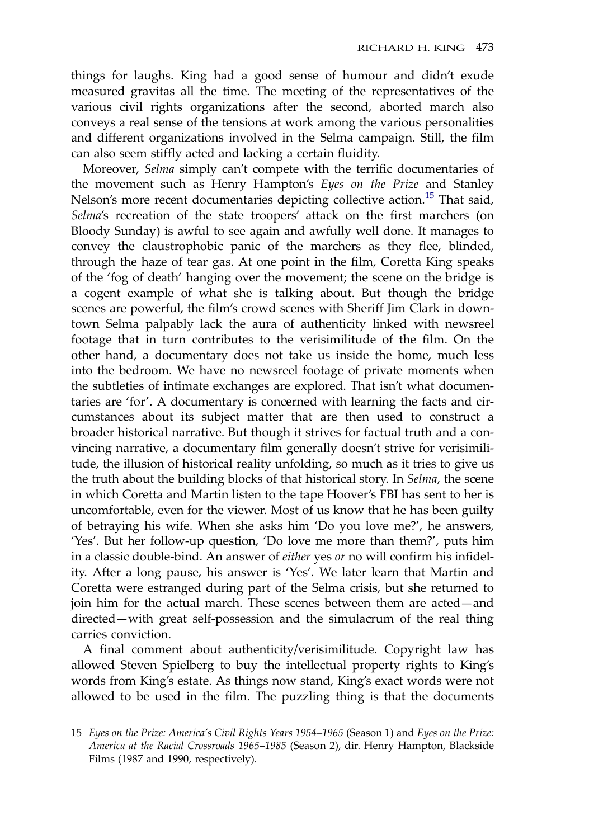things for laughs. King had a good sense of humour and didn't exude measured gravitas all the time. The meeting of the representatives of the various civil rights organizations after the second, aborted march also conveys a real sense of the tensions at work among the various personalities and different organizations involved in the Selma campaign. Still, the film can also seem stiffly acted and lacking a certain fluidity.

Moreover, Selma simply can't compete with the terrific documentaries of the movement such as Henry Hampton's Eyes on the Prize and Stanley Nelson's more recent documentaries depicting collective action.<sup>15</sup> That said, Selma's recreation of the state troopers' attack on the first marchers (on Bloody Sunday) is awful to see again and awfully well done. It manages to convey the claustrophobic panic of the marchers as they flee, blinded, through the haze of tear gas. At one point in the film, Coretta King speaks of the 'fog of death' hanging over the movement; the scene on the bridge is a cogent example of what she is talking about. But though the bridge scenes are powerful, the film's crowd scenes with Sheriff Jim Clark in downtown Selma palpably lack the aura of authenticity linked with newsreel footage that in turn contributes to the verisimilitude of the film. On the other hand, a documentary does not take us inside the home, much less into the bedroom. We have no newsreel footage of private moments when the subtleties of intimate exchanges are explored. That isn't what documentaries are 'for'. A documentary is concerned with learning the facts and circumstances about its subject matter that are then used to construct a broader historical narrative. But though it strives for factual truth and a convincing narrative, a documentary film generally doesn't strive for verisimilitude, the illusion of historical reality unfolding, so much as it tries to give us the truth about the building blocks of that historical story. In Selma, the scene in which Coretta and Martin listen to the tape Hoover's FBI has sent to her is uncomfortable, even for the viewer. Most of us know that he has been guilty of betraying his wife. When she asks him 'Do you love me?', he answers, 'Yes'. But her follow-up question, 'Do love me more than them?', puts him in a classic double-bind. An answer of either yes or no will confirm his infidelity. After a long pause, his answer is 'Yes'. We later learn that Martin and Coretta were estranged during part of the Selma crisis, but she returned to join him for the actual march. These scenes between them are acted—and directed—with great self-possession and the simulacrum of the real thing carries conviction.

A final comment about authenticity/verisimilitude. Copyright law has allowed Steven Spielberg to buy the intellectual property rights to King's words from King's estate. As things now stand, King's exact words were not allowed to be used in the film. The puzzling thing is that the documents

<sup>15</sup> Eyes on the Prize: America's Civil Rights Years 1954–1965 (Season 1) and Eyes on the Prize: America at the Racial Crossroads 1965–1985 (Season 2), dir. Henry Hampton, Blackside Films (1987 and 1990, respectively).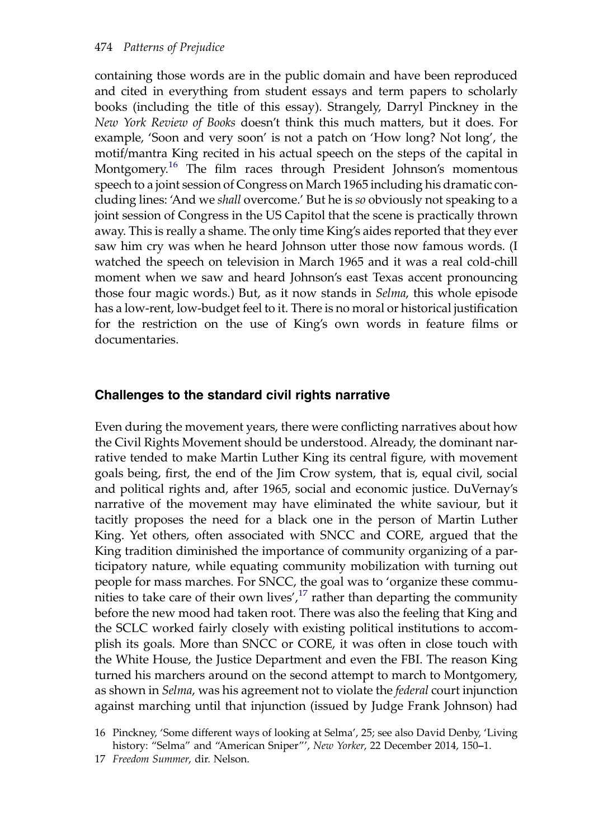containing those words are in the public domain and have been reproduced and cited in everything from student essays and term papers to scholarly books (including the title of this essay). Strangely, Darryl Pinckney in the New York Review of Books doesn't think this much matters, but it does. For example, 'Soon and very soon' is not a patch on 'How long? Not long', the motif/mantra King recited in his actual speech on the steps of the capital in Montgomery.<sup>16</sup> The film races through President Johnson's momentous speech to a joint session of Congress on March 1965 including his dramatic concluding lines: 'And we shall overcome.' But he is so obviously not speaking to a joint session of Congress in the US Capitol that the scene is practically thrown away. This is really a shame. The only time King's aides reported that they ever saw him cry was when he heard Johnson utter those now famous words. (I watched the speech on television in March 1965 and it was a real cold-chill moment when we saw and heard Johnson's east Texas accent pronouncing those four magic words.) But, as it now stands in Selma, this whole episode has a low-rent, low-budget feel to it. There is no moral or historical justification for the restriction on the use of King's own words in feature films or documentaries.

#### Challenges to the standard civil rights narrative

Even during the movement years, there were conflicting narratives about how the Civil Rights Movement should be understood. Already, the dominant narrative tended to make Martin Luther King its central figure, with movement goals being, first, the end of the Jim Crow system, that is, equal civil, social and political rights and, after 1965, social and economic justice. DuVernay's narrative of the movement may have eliminated the white saviour, but it tacitly proposes the need for a black one in the person of Martin Luther King. Yet others, often associated with SNCC and CORE, argued that the King tradition diminished the importance of community organizing of a participatory nature, while equating community mobilization with turning out people for mass marches. For SNCC, the goal was to 'organize these communities to take care of their own lives', $17$  rather than departing the community before the new mood had taken root. There was also the feeling that King and the SCLC worked fairly closely with existing political institutions to accomplish its goals. More than SNCC or CORE, it was often in close touch with the White House, the Justice Department and even the FBI. The reason King turned his marchers around on the second attempt to march to Montgomery, as shown in *Selma*, was his agreement not to violate the *federal* court injunction against marching until that injunction (issued by Judge Frank Johnson) had

16 Pinckney, 'Some different ways of looking at Selma', 25; see also David Denby, 'Living history: "Selma" and "American Sniper"', New Yorker, 22 December 2014, 150–1.

17 Freedom Summer, dir. Nelson.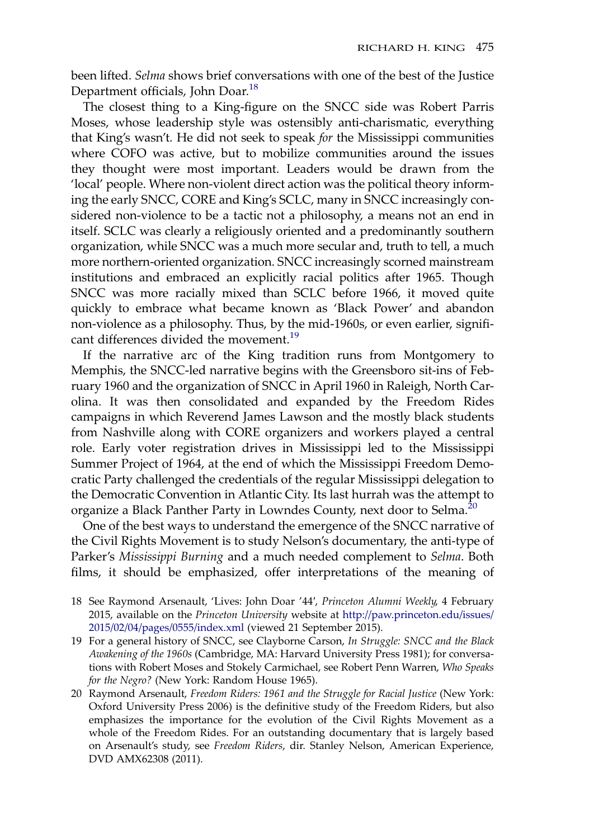been lifted. Selma shows brief conversations with one of the best of the Justice Department officials, John Doar.18

The closest thing to a King-figure on the SNCC side was Robert Parris Moses, whose leadership style was ostensibly anti-charismatic, everything that King's wasn't. He did not seek to speak for the Mississippi communities where COFO was active, but to mobilize communities around the issues they thought were most important. Leaders would be drawn from the 'local' people. Where non-violent direct action was the political theory informing the early SNCC, CORE and King's SCLC, many in SNCC increasingly considered non-violence to be a tactic not a philosophy, a means not an end in itself. SCLC was clearly a religiously oriented and a predominantly southern organization, while SNCC was a much more secular and, truth to tell, a much more northern-oriented organization. SNCC increasingly scorned mainstream institutions and embraced an explicitly racial politics after 1965. Though SNCC was more racially mixed than SCLC before 1966, it moved quite quickly to embrace what became known as 'Black Power' and abandon non-violence as a philosophy. Thus, by the mid-1960s, or even earlier, significant differences divided the movement.<sup>19</sup>

If the narrative arc of the King tradition runs from Montgomery to Memphis, the SNCC-led narrative begins with the Greensboro sit-ins of February 1960 and the organization of SNCC in April 1960 in Raleigh, North Carolina. It was then consolidated and expanded by the Freedom Rides campaigns in which Reverend James Lawson and the mostly black students from Nashville along with CORE organizers and workers played a central role. Early voter registration drives in Mississippi led to the Mississippi Summer Project of 1964, at the end of which the Mississippi Freedom Democratic Party challenged the credentials of the regular Mississippi delegation to the Democratic Convention in Atlantic City. Its last hurrah was the attempt to organize a Black Panther Party in Lowndes County, next door to Selma.<sup>20</sup>

One of the best ways to understand the emergence of the SNCC narrative of the Civil Rights Movement is to study Nelson's documentary, the anti-type of Parker's Mississippi Burning and a much needed complement to Selma. Both films, it should be emphasized, offer interpretations of the meaning of

- 18 See Raymond Arsenault, 'Lives: John Doar '44′, Princeton Alumni Weekly, 4 February 2015, available on the Princeton University website at [http://paw.princeton.edu/issues/](http://paw.princeton.edu/issues/2015/02/04/pages/0555/index.xml) [2015/02/04/pages/0555/index.xml](http://paw.princeton.edu/issues/2015/02/04/pages/0555/index.xml) (viewed 21 September 2015).
- 19 For a general history of SNCC, see Clayborne Carson, In Struggle: SNCC and the Black Awakening of the 1960s (Cambridge, MA: Harvard University Press 1981); for conversations with Robert Moses and Stokely Carmichael, see Robert Penn Warren, Who Speaks for the Negro? (New York: Random House 1965).
- 20 Raymond Arsenault, Freedom Riders: 1961 and the Struggle for Racial Justice (New York: Oxford University Press 2006) is the definitive study of the Freedom Riders, but also emphasizes the importance for the evolution of the Civil Rights Movement as a whole of the Freedom Rides. For an outstanding documentary that is largely based on Arsenault's study, see Freedom Riders, dir. Stanley Nelson, American Experience, DVD AMX62308 (2011).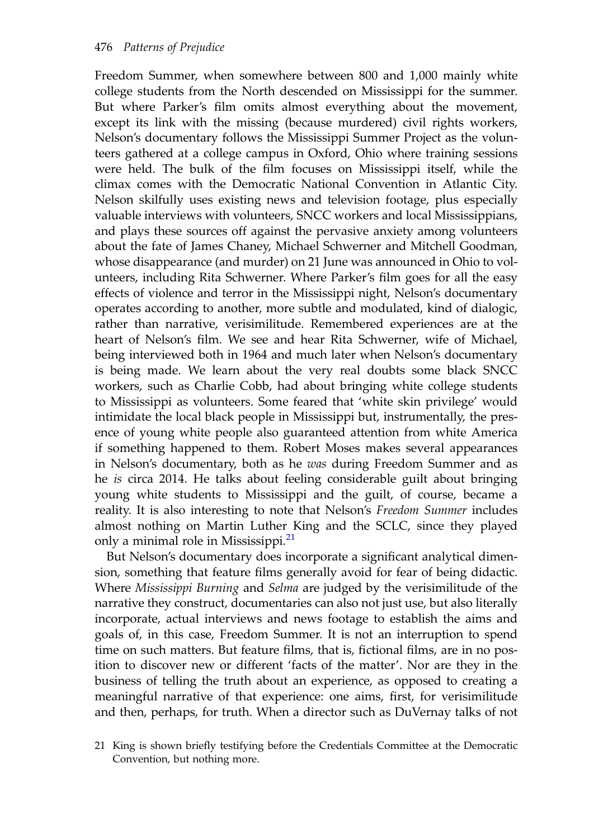Freedom Summer, when somewhere between 800 and 1,000 mainly white college students from the North descended on Mississippi for the summer. But where Parker's film omits almost everything about the movement, except its link with the missing (because murdered) civil rights workers, Nelson's documentary follows the Mississippi Summer Project as the volunteers gathered at a college campus in Oxford, Ohio where training sessions were held. The bulk of the film focuses on Mississippi itself, while the climax comes with the Democratic National Convention in Atlantic City. Nelson skilfully uses existing news and television footage, plus especially valuable interviews with volunteers, SNCC workers and local Mississippians, and plays these sources off against the pervasive anxiety among volunteers about the fate of James Chaney, Michael Schwerner and Mitchell Goodman, whose disappearance (and murder) on 21 June was announced in Ohio to volunteers, including Rita Schwerner. Where Parker's film goes for all the easy effects of violence and terror in the Mississippi night, Nelson's documentary operates according to another, more subtle and modulated, kind of dialogic, rather than narrative, verisimilitude. Remembered experiences are at the heart of Nelson's film. We see and hear Rita Schwerner, wife of Michael, being interviewed both in 1964 and much later when Nelson's documentary is being made. We learn about the very real doubts some black SNCC workers, such as Charlie Cobb, had about bringing white college students to Mississippi as volunteers. Some feared that 'white skin privilege' would intimidate the local black people in Mississippi but, instrumentally, the presence of young white people also guaranteed attention from white America if something happened to them. Robert Moses makes several appearances in Nelson's documentary, both as he was during Freedom Summer and as he is circa 2014. He talks about feeling considerable guilt about bringing young white students to Mississippi and the guilt, of course, became a reality. It is also interesting to note that Nelson's Freedom Summer includes almost nothing on Martin Luther King and the SCLC, since they played only a minimal role in Mississippi.<sup>21</sup>

But Nelson's documentary does incorporate a significant analytical dimension, something that feature films generally avoid for fear of being didactic. Where Mississippi Burning and Selma are judged by the verisimilitude of the narrative they construct, documentaries can also not just use, but also literally incorporate, actual interviews and news footage to establish the aims and goals of, in this case, Freedom Summer. It is not an interruption to spend time on such matters. But feature films, that is, fictional films, are in no position to discover new or different 'facts of the matter'. Nor are they in the business of telling the truth about an experience, as opposed to creating a meaningful narrative of that experience: one aims, first, for verisimilitude and then, perhaps, for truth. When a director such as DuVernay talks of not

<sup>21</sup> King is shown briefly testifying before the Credentials Committee at the Democratic Convention, but nothing more.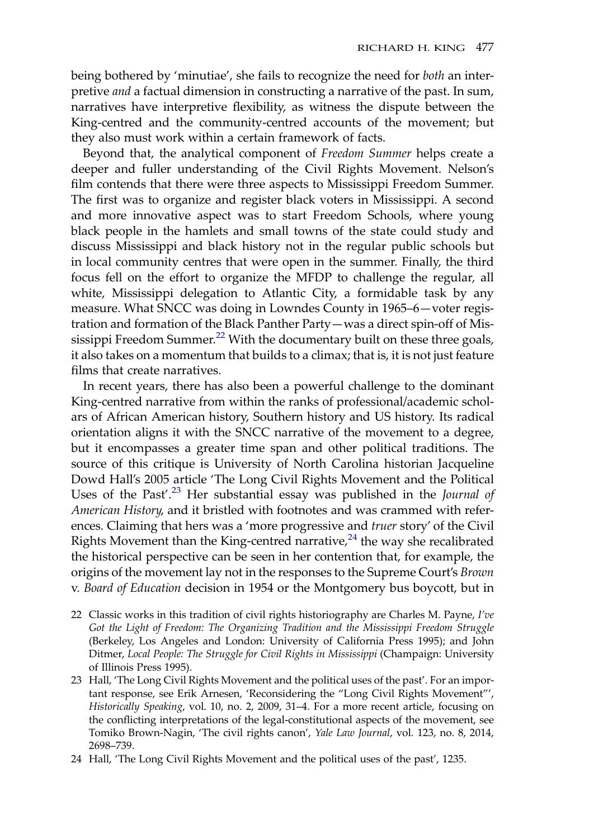being bothered by 'minutiae', she fails to recognize the need for both an interpretive and a factual dimension in constructing a narrative of the past. In sum, narratives have interpretive flexibility, as witness the dispute between the King-centred and the community-centred accounts of the movement; but they also must work within a certain framework of facts.

Beyond that, the analytical component of Freedom Summer helps create a deeper and fuller understanding of the Civil Rights Movement. Nelson's film contends that there were three aspects to Mississippi Freedom Summer. The first was to organize and register black voters in Mississippi. A second and more innovative aspect was to start Freedom Schools, where young black people in the hamlets and small towns of the state could study and discuss Mississippi and black history not in the regular public schools but in local community centres that were open in the summer. Finally, the third focus fell on the effort to organize the MFDP to challenge the regular, all white, Mississippi delegation to Atlantic City, a formidable task by any measure. What SNCC was doing in Lowndes County in 1965–6—voter registration and formation of the Black Panther Party—was a direct spin-off of Mississippi Freedom Summer.<sup>22</sup> With the documentary built on these three goals, it also takes on a momentum that builds to a climax; that is, it is not just feature films that create narratives.

In recent years, there has also been a powerful challenge to the dominant King-centred narrative from within the ranks of professional/academic scholars of African American history, Southern history and US history. Its radical orientation aligns it with the SNCC narrative of the movement to a degree, but it encompasses a greater time span and other political traditions. The source of this critique is University of North Carolina historian Jacqueline Dowd Hall's 2005 article 'The Long Civil Rights Movement and the Political Uses of the Past'.<sup>23</sup> Her substantial essay was published in the Journal of American History, and it bristled with footnotes and was crammed with references. Claiming that hers was a 'more progressive and truer story' of the Civil Rights Movement than the King-centred narrative,  $24$  the way she recalibrated the historical perspective can be seen in her contention that, for example, the origins of the movement lay not in the responses to the Supreme Court's Brown v. Board of Education decision in 1954 or the Montgomery bus boycott, but in

- 22 Classic works in this tradition of civil rights historiography are Charles M. Payne, I've Got the Light of Freedom: The Organizing Tradition and the Mississippi Freedom Struggle (Berkeley, Los Angeles and London: University of California Press 1995); and John Ditmer, Local People: The Struggle for Civil Rights in Mississippi (Champaign: University of Illinois Press 1995).
- 23 Hall, 'The Long Civil Rights Movement and the political uses of the past'. For an important response, see Erik Arnesen, 'Reconsidering the "Long Civil Rights Movement"', Historically Speaking, vol. 10, no. 2, 2009, 31–4. For a more recent article, focusing on the conflicting interpretations of the legal-constitutional aspects of the movement, see Tomiko Brown-Nagin, 'The civil rights canon', Yale Law Journal, vol. 123, no. 8, 2014, 2698–739.
- 24 Hall, 'The Long Civil Rights Movement and the political uses of the past', 1235.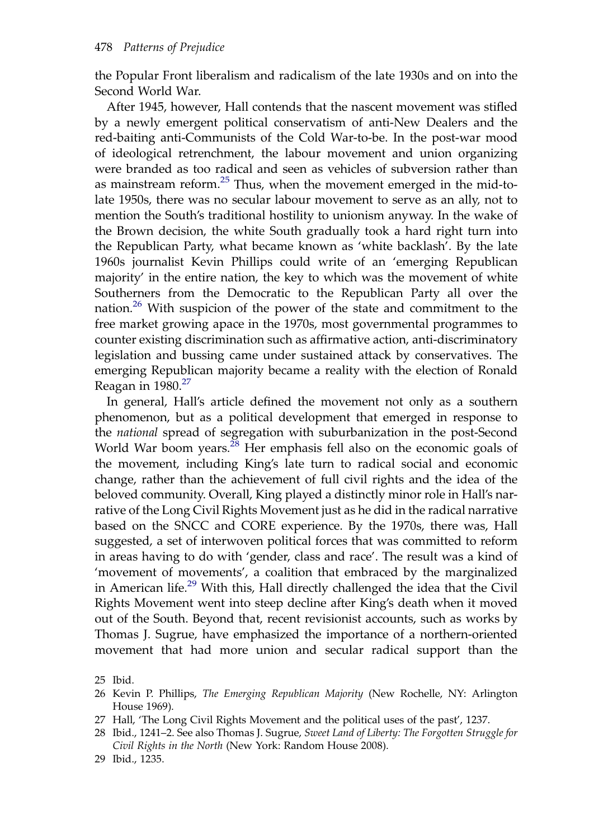the Popular Front liberalism and radicalism of the late 1930s and on into the Second World War.

After 1945, however, Hall contends that the nascent movement was stifled by a newly emergent political conservatism of anti-New Dealers and the red-baiting anti-Communists of the Cold War-to-be. In the post-war mood of ideological retrenchment, the labour movement and union organizing were branded as too radical and seen as vehicles of subversion rather than as mainstream reform.25 Thus, when the movement emerged in the mid-tolate 1950s, there was no secular labour movement to serve as an ally, not to mention the South's traditional hostility to unionism anyway. In the wake of the Brown decision, the white South gradually took a hard right turn into the Republican Party, what became known as 'white backlash'. By the late 1960s journalist Kevin Phillips could write of an 'emerging Republican majority' in the entire nation, the key to which was the movement of white Southerners from the Democratic to the Republican Party all over the nation.26 With suspicion of the power of the state and commitment to the free market growing apace in the 1970s, most governmental programmes to counter existing discrimination such as affirmative action, anti-discriminatory legislation and bussing came under sustained attack by conservatives. The emerging Republican majority became a reality with the election of Ronald Reagan in  $1980.<sup>27</sup>$ 

In general, Hall's article defined the movement not only as a southern phenomenon, but as a political development that emerged in response to the national spread of segregation with suburbanization in the post-Second World War boom years.<sup>28</sup> Her emphasis fell also on the economic goals of the movement, including King's late turn to radical social and economic change, rather than the achievement of full civil rights and the idea of the beloved community. Overall, King played a distinctly minor role in Hall's narrative of the Long Civil Rights Movement just as he did in the radical narrative based on the SNCC and CORE experience. By the 1970s, there was, Hall suggested, a set of interwoven political forces that was committed to reform in areas having to do with 'gender, class and race'. The result was a kind of 'movement of movements', a coalition that embraced by the marginalized in American life.<sup>29</sup> With this, Hall directly challenged the idea that the Civil Rights Movement went into steep decline after King's death when it moved out of the South. Beyond that, recent revisionist accounts, such as works by Thomas J. Sugrue, have emphasized the importance of a northern-oriented movement that had more union and secular radical support than the

25 Ibid.

- 27 Hall, 'The Long Civil Rights Movement and the political uses of the past', 1237.
- 28 Ibid., 1241–2. See also Thomas J. Sugrue, Sweet Land of Liberty: The Forgotten Struggle for Civil Rights in the North (New York: Random House 2008).
- 29 Ibid., 1235.

<sup>26</sup> Kevin P. Phillips, The Emerging Republican Majority (New Rochelle, NY: Arlington House 1969).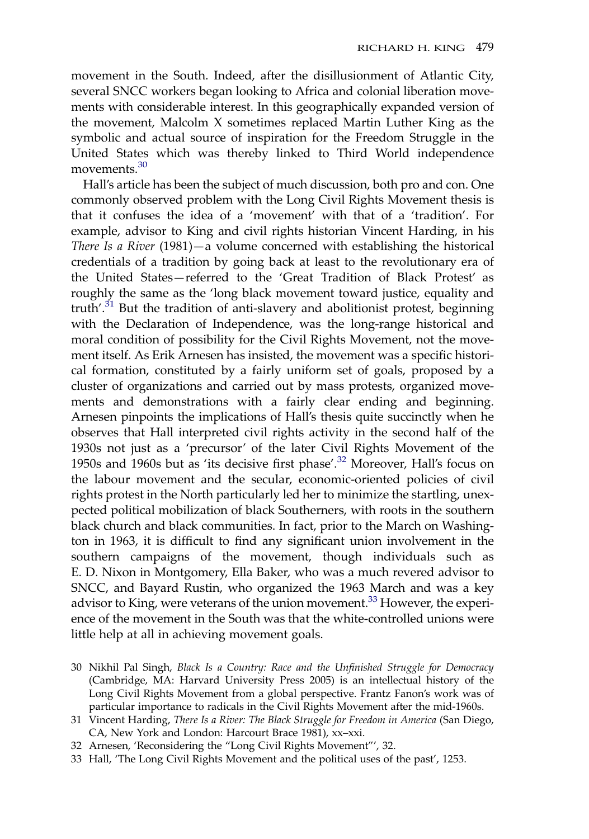movement in the South. Indeed, after the disillusionment of Atlantic City, several SNCC workers began looking to Africa and colonial liberation movements with considerable interest. In this geographically expanded version of the movement, Malcolm X sometimes replaced Martin Luther King as the symbolic and actual source of inspiration for the Freedom Struggle in the United States which was thereby linked to Third World independence movements.<sup>30</sup>

Hall's article has been the subject of much discussion, both pro and con. One commonly observed problem with the Long Civil Rights Movement thesis is that it confuses the idea of a 'movement' with that of a 'tradition'. For example, advisor to King and civil rights historian Vincent Harding, in his There Is a River (1981)—a volume concerned with establishing the historical credentials of a tradition by going back at least to the revolutionary era of the United States—referred to the 'Great Tradition of Black Protest' as roughly the same as the 'long black movement toward justice, equality and truth'.<sup>31</sup> But the tradition of anti-slavery and abolitionist protest, beginning with the Declaration of Independence, was the long-range historical and moral condition of possibility for the Civil Rights Movement, not the movement itself. As Erik Arnesen has insisted, the movement was a specific historical formation, constituted by a fairly uniform set of goals, proposed by a cluster of organizations and carried out by mass protests, organized movements and demonstrations with a fairly clear ending and beginning. Arnesen pinpoints the implications of Hall's thesis quite succinctly when he observes that Hall interpreted civil rights activity in the second half of the 1930s not just as a 'precursor' of the later Civil Rights Movement of the 1950s and 1960s but as 'its decisive first phase'. <sup>32</sup> Moreover, Hall's focus on the labour movement and the secular, economic-oriented policies of civil rights protest in the North particularly led her to minimize the startling, unexpected political mobilization of black Southerners, with roots in the southern black church and black communities. In fact, prior to the March on Washington in 1963, it is difficult to find any significant union involvement in the southern campaigns of the movement, though individuals such as E. D. Nixon in Montgomery, Ella Baker, who was a much revered advisor to SNCC, and Bayard Rustin, who organized the 1963 March and was a key advisor to King, were veterans of the union movement.<sup>33</sup> However, the experience of the movement in the South was that the white-controlled unions were little help at all in achieving movement goals.

- 30 Nikhil Pal Singh, Black Is a Country: Race and the Unfinished Struggle for Democracy (Cambridge, MA: Harvard University Press 2005) is an intellectual history of the Long Civil Rights Movement from a global perspective. Frantz Fanon's work was of particular importance to radicals in the Civil Rights Movement after the mid-1960s.
- 31 Vincent Harding, There Is a River: The Black Struggle for Freedom in America (San Diego, CA, New York and London: Harcourt Brace 1981), xx–xxi.
- 32 Arnesen, 'Reconsidering the "Long Civil Rights Movement"', 32.
- 33 Hall, 'The Long Civil Rights Movement and the political uses of the past', 1253.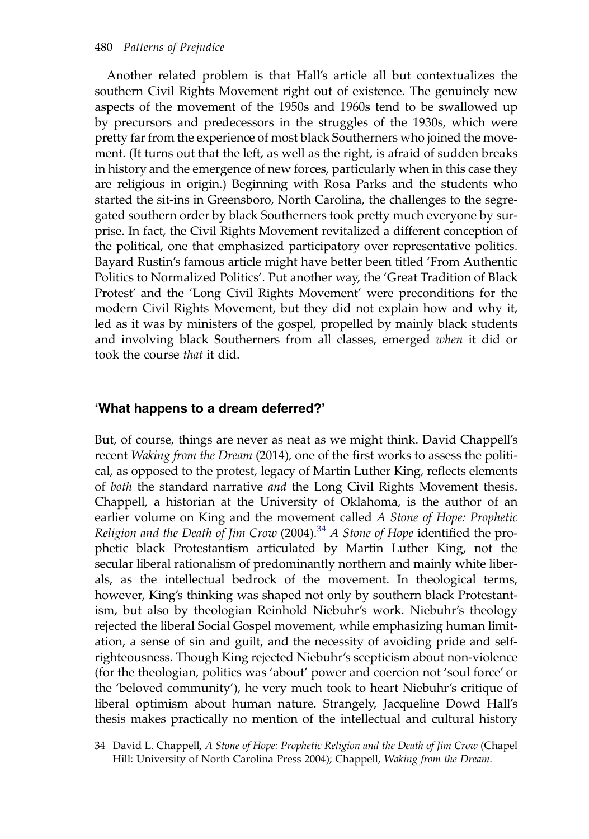Another related problem is that Hall's article all but contextualizes the southern Civil Rights Movement right out of existence. The genuinely new aspects of the movement of the 1950s and 1960s tend to be swallowed up by precursors and predecessors in the struggles of the 1930s, which were pretty far from the experience of most black Southerners who joined the movement. (It turns out that the left, as well as the right, is afraid of sudden breaks in history and the emergence of new forces, particularly when in this case they are religious in origin.) Beginning with Rosa Parks and the students who started the sit-ins in Greensboro, North Carolina, the challenges to the segregated southern order by black Southerners took pretty much everyone by surprise. In fact, the Civil Rights Movement revitalized a different conception of the political, one that emphasized participatory over representative politics. Bayard Rustin's famous article might have better been titled 'From Authentic Politics to Normalized Politics'. Put another way, the 'Great Tradition of Black Protest' and the 'Long Civil Rights Movement' were preconditions for the modern Civil Rights Movement, but they did not explain how and why it, led as it was by ministers of the gospel, propelled by mainly black students and involving black Southerners from all classes, emerged when it did or took the course that it did.

### 'What happens to a dream deferred?'

But, of course, things are never as neat as we might think. David Chappell's recent Waking from the Dream (2014), one of the first works to assess the political, as opposed to the protest, legacy of Martin Luther King, reflects elements of both the standard narrative and the Long Civil Rights Movement thesis. Chappell, a historian at the University of Oklahoma, is the author of an earlier volume on King and the movement called A Stone of Hope: Prophetic Religion and the Death of Jim Crow (2004).<sup>34</sup> A Stone of Hope identified the prophetic black Protestantism articulated by Martin Luther King, not the secular liberal rationalism of predominantly northern and mainly white liberals, as the intellectual bedrock of the movement. In theological terms, however, King's thinking was shaped not only by southern black Protestantism, but also by theologian Reinhold Niebuhr's work. Niebuhr's theology rejected the liberal Social Gospel movement, while emphasizing human limitation, a sense of sin and guilt, and the necessity of avoiding pride and selfrighteousness. Though King rejected Niebuhr's scepticism about non-violence (for the theologian, politics was 'about' power and coercion not 'soul force' or the 'beloved community'), he very much took to heart Niebuhr's critique of liberal optimism about human nature. Strangely, Jacqueline Dowd Hall's thesis makes practically no mention of the intellectual and cultural history

34 David L. Chappell, A Stone of Hope: Prophetic Religion and the Death of Jim Crow (Chapel Hill: University of North Carolina Press 2004); Chappell, Waking from the Dream.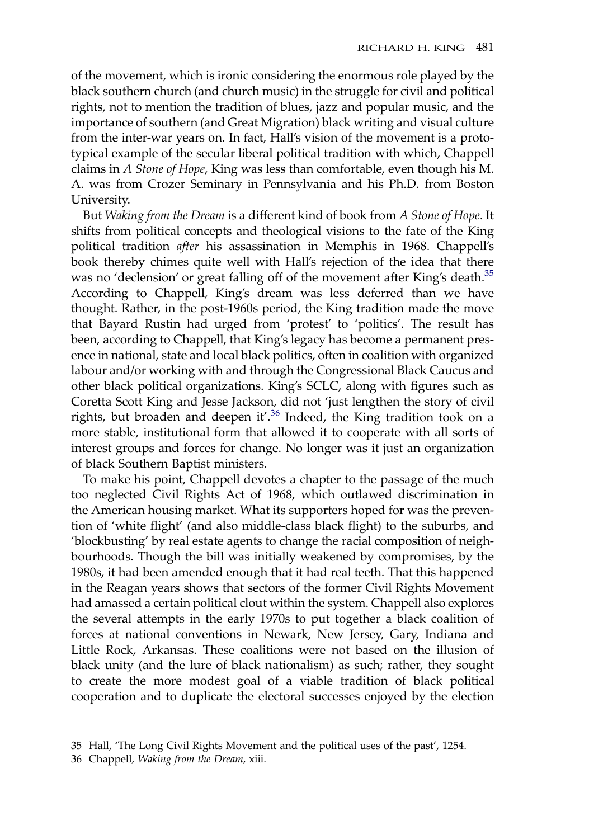of the movement, which is ironic considering the enormous role played by the black southern church (and church music) in the struggle for civil and political rights, not to mention the tradition of blues, jazz and popular music, and the importance of southern (and Great Migration) black writing and visual culture from the inter-war years on. In fact, Hall's vision of the movement is a prototypical example of the secular liberal political tradition with which, Chappell claims in A Stone of Hope, King was less than comfortable, even though his M. A. was from Crozer Seminary in Pennsylvania and his Ph.D. from Boston University.

But Waking from the Dream is a different kind of book from A Stone of Hope. It shifts from political concepts and theological visions to the fate of the King political tradition after his assassination in Memphis in 1968. Chappell's book thereby chimes quite well with Hall's rejection of the idea that there was no 'declension' or great falling off of the movement after King's death.<sup>35</sup> According to Chappell, King's dream was less deferred than we have thought. Rather, in the post-1960s period, the King tradition made the move that Bayard Rustin had urged from 'protest' to 'politics'. The result has been, according to Chappell, that King's legacy has become a permanent presence in national, state and local black politics, often in coalition with organized labour and/or working with and through the Congressional Black Caucus and other black political organizations. King's SCLC, along with figures such as Coretta Scott King and Jesse Jackson, did not 'just lengthen the story of civil rights, but broaden and deepen it'.<sup>36</sup> Indeed, the King tradition took on a more stable, institutional form that allowed it to cooperate with all sorts of interest groups and forces for change. No longer was it just an organization of black Southern Baptist ministers.

To make his point, Chappell devotes a chapter to the passage of the much too neglected Civil Rights Act of 1968, which outlawed discrimination in the American housing market. What its supporters hoped for was the prevention of 'white flight' (and also middle-class black flight) to the suburbs, and 'blockbusting' by real estate agents to change the racial composition of neighbourhoods. Though the bill was initially weakened by compromises, by the 1980s, it had been amended enough that it had real teeth. That this happened in the Reagan years shows that sectors of the former Civil Rights Movement had amassed a certain political clout within the system. Chappell also explores the several attempts in the early 1970s to put together a black coalition of forces at national conventions in Newark, New Jersey, Gary, Indiana and Little Rock, Arkansas. These coalitions were not based on the illusion of black unity (and the lure of black nationalism) as such; rather, they sought to create the more modest goal of a viable tradition of black political cooperation and to duplicate the electoral successes enjoyed by the election

<sup>35</sup> Hall, 'The Long Civil Rights Movement and the political uses of the past', 1254.

<sup>36</sup> Chappell, Waking from the Dream, xiii.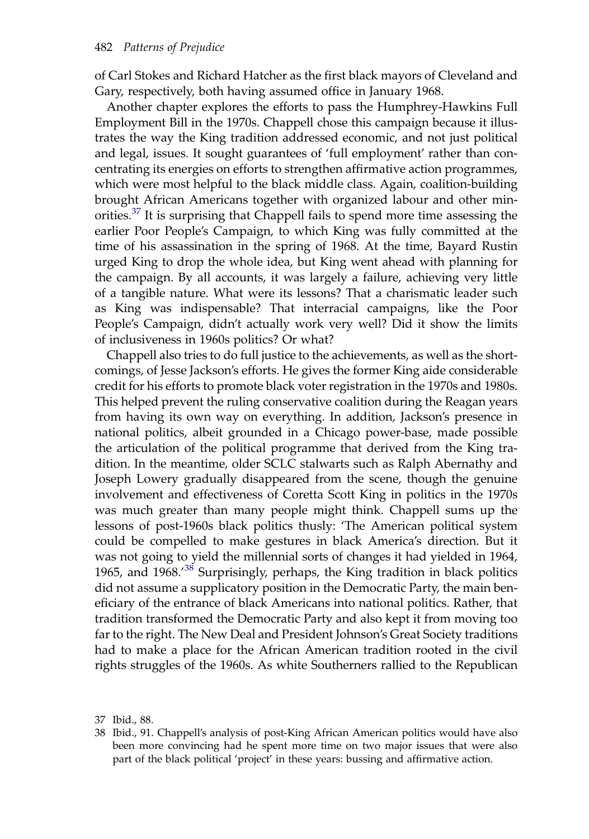of Carl Stokes and Richard Hatcher as the first black mayors of Cleveland and Gary, respectively, both having assumed office in January 1968.

Another chapter explores the efforts to pass the Humphrey-Hawkins Full Employment Bill in the 1970s. Chappell chose this campaign because it illustrates the way the King tradition addressed economic, and not just political and legal, issues. It sought guarantees of 'full employment' rather than concentrating its energies on efforts to strengthen affirmative action programmes, which were most helpful to the black middle class. Again, coalition-building brought African Americans together with organized labour and other minorities.<sup>37</sup> It is surprising that Chappell fails to spend more time assessing the earlier Poor People's Campaign, to which King was fully committed at the time of his assassination in the spring of 1968. At the time, Bayard Rustin urged King to drop the whole idea, but King went ahead with planning for the campaign. By all accounts, it was largely a failure, achieving very little of a tangible nature. What were its lessons? That a charismatic leader such as King was indispensable? That interracial campaigns, like the Poor People's Campaign, didn't actually work very well? Did it show the limits of inclusiveness in 1960s politics? Or what?

Chappell also tries to do full justice to the achievements, as well as the shortcomings, of Jesse Jackson's efforts. He gives the former King aide considerable credit for his efforts to promote black voter registration in the 1970s and 1980s. This helped prevent the ruling conservative coalition during the Reagan years from having its own way on everything. In addition, Jackson's presence in national politics, albeit grounded in a Chicago power-base, made possible the articulation of the political programme that derived from the King tradition. In the meantime, older SCLC stalwarts such as Ralph Abernathy and Joseph Lowery gradually disappeared from the scene, though the genuine involvement and effectiveness of Coretta Scott King in politics in the 1970s was much greater than many people might think. Chappell sums up the lessons of post-1960s black politics thusly: 'The American political system could be compelled to make gestures in black America's direction. But it was not going to yield the millennial sorts of changes it had yielded in 1964, 1965, and 1968.<sup>38</sup> Surprisingly, perhaps, the King tradition in black politics did not assume a supplicatory position in the Democratic Party, the main beneficiary of the entrance of black Americans into national politics. Rather, that tradition transformed the Democratic Party and also kept it from moving too far to the right. The New Deal and President Johnson's Great Society traditions had to make a place for the African American tradition rooted in the civil rights struggles of the 1960s. As white Southerners rallied to the Republican

<sup>37</sup> Ibid., 88.

<sup>38</sup> Ibid., 91. Chappell's analysis of post-King African American politics would have also been more convincing had he spent more time on two major issues that were also part of the black political 'project' in these years: bussing and affirmative action.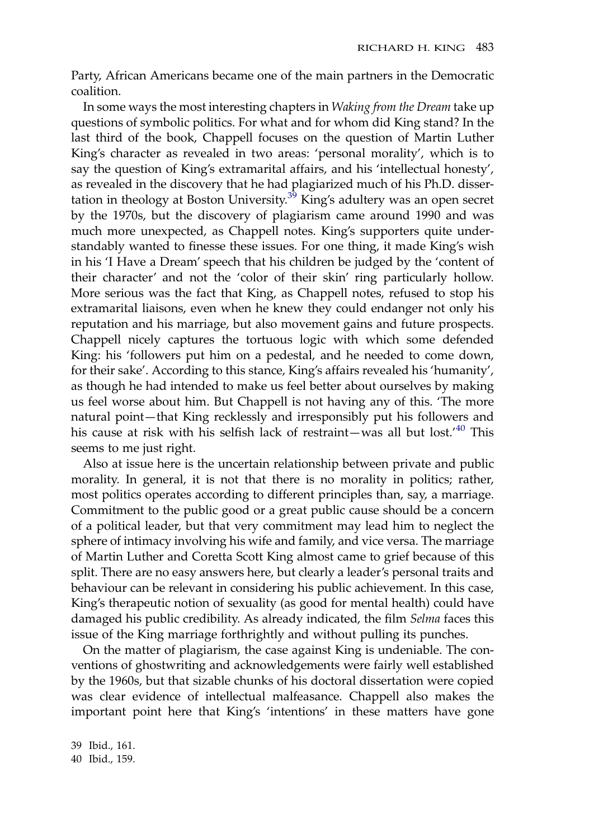Party, African Americans became one of the main partners in the Democratic coalition.

In some ways the most interesting chapters in Waking from the Dream take up questions of symbolic politics. For what and for whom did King stand? In the last third of the book, Chappell focuses on the question of Martin Luther King's character as revealed in two areas: 'personal morality', which is to say the question of King's extramarital affairs, and his 'intellectual honesty', as revealed in the discovery that he had plagiarized much of his Ph.D. dissertation in theology at Boston University. $3^3$  King's adultery was an open secret by the 1970s, but the discovery of plagiarism came around 1990 and was much more unexpected, as Chappell notes. King's supporters quite understandably wanted to finesse these issues. For one thing, it made King's wish in his 'I Have a Dream' speech that his children be judged by the 'content of their character' and not the 'color of their skin' ring particularly hollow. More serious was the fact that King, as Chappell notes, refused to stop his extramarital liaisons, even when he knew they could endanger not only his reputation and his marriage, but also movement gains and future prospects. Chappell nicely captures the tortuous logic with which some defended King: his 'followers put him on a pedestal, and he needed to come down, for their sake'. According to this stance, King's affairs revealed his 'humanity', as though he had intended to make us feel better about ourselves by making us feel worse about him. But Chappell is not having any of this. 'The more natural point—that King recklessly and irresponsibly put his followers and his cause at risk with his selfish lack of restraint—was all but lost.' <sup>40</sup> This seems to me just right.

Also at issue here is the uncertain relationship between private and public morality. In general, it is not that there is no morality in politics; rather, most politics operates according to different principles than, say, a marriage. Commitment to the public good or a great public cause should be a concern of a political leader, but that very commitment may lead him to neglect the sphere of intimacy involving his wife and family, and vice versa. The marriage of Martin Luther and Coretta Scott King almost came to grief because of this split. There are no easy answers here, but clearly a leader's personal traits and behaviour can be relevant in considering his public achievement. In this case, King's therapeutic notion of sexuality (as good for mental health) could have damaged his public credibility. As already indicated, the film *Selma* faces this issue of the King marriage forthrightly and without pulling its punches.

On the matter of plagiarism, the case against King is undeniable. The conventions of ghostwriting and acknowledgements were fairly well established by the 1960s, but that sizable chunks of his doctoral dissertation were copied was clear evidence of intellectual malfeasance. Chappell also makes the important point here that King's 'intentions' in these matters have gone

39 Ibid., 161. 40 Ibid., 159.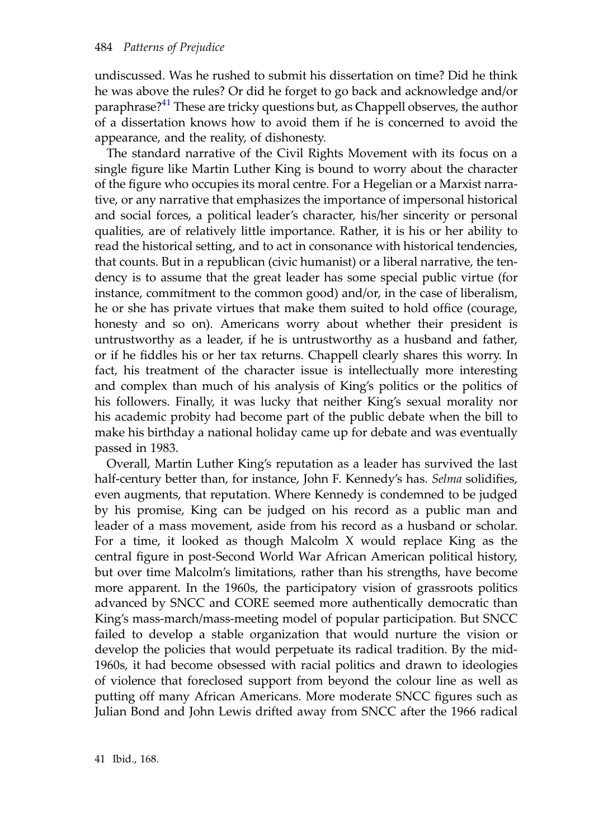undiscussed. Was he rushed to submit his dissertation on time? Did he think he was above the rules? Or did he forget to go back and acknowledge and/or paraphrase?<sup>41</sup> These are tricky questions but, as Chappell observes, the author of a dissertation knows how to avoid them if he is concerned to avoid the appearance, and the reality, of dishonesty.

The standard narrative of the Civil Rights Movement with its focus on a single figure like Martin Luther King is bound to worry about the character of the figure who occupies its moral centre. For a Hegelian or a Marxist narrative, or any narrative that emphasizes the importance of impersonal historical and social forces, a political leader's character, his/her sincerity or personal qualities, are of relatively little importance. Rather, it is his or her ability to read the historical setting, and to act in consonance with historical tendencies, that counts. But in a republican (civic humanist) or a liberal narrative, the tendency is to assume that the great leader has some special public virtue (for instance, commitment to the common good) and/or, in the case of liberalism, he or she has private virtues that make them suited to hold office (courage, honesty and so on). Americans worry about whether their president is untrustworthy as a leader, if he is untrustworthy as a husband and father, or if he fiddles his or her tax returns. Chappell clearly shares this worry. In fact, his treatment of the character issue is intellectually more interesting and complex than much of his analysis of King's politics or the politics of his followers. Finally, it was lucky that neither King's sexual morality nor his academic probity had become part of the public debate when the bill to make his birthday a national holiday came up for debate and was eventually passed in 1983.

Overall, Martin Luther King's reputation as a leader has survived the last half-century better than, for instance, John F. Kennedy's has. Selma solidifies, even augments, that reputation. Where Kennedy is condemned to be judged by his promise, King can be judged on his record as a public man and leader of a mass movement, aside from his record as a husband or scholar. For a time, it looked as though Malcolm X would replace King as the central figure in post-Second World War African American political history, but over time Malcolm's limitations, rather than his strengths, have become more apparent. In the 1960s, the participatory vision of grassroots politics advanced by SNCC and CORE seemed more authentically democratic than King's mass-march/mass-meeting model of popular participation. But SNCC failed to develop a stable organization that would nurture the vision or develop the policies that would perpetuate its radical tradition. By the mid-1960s, it had become obsessed with racial politics and drawn to ideologies of violence that foreclosed support from beyond the colour line as well as putting off many African Americans. More moderate SNCC figures such as Julian Bond and John Lewis drifted away from SNCC after the 1966 radical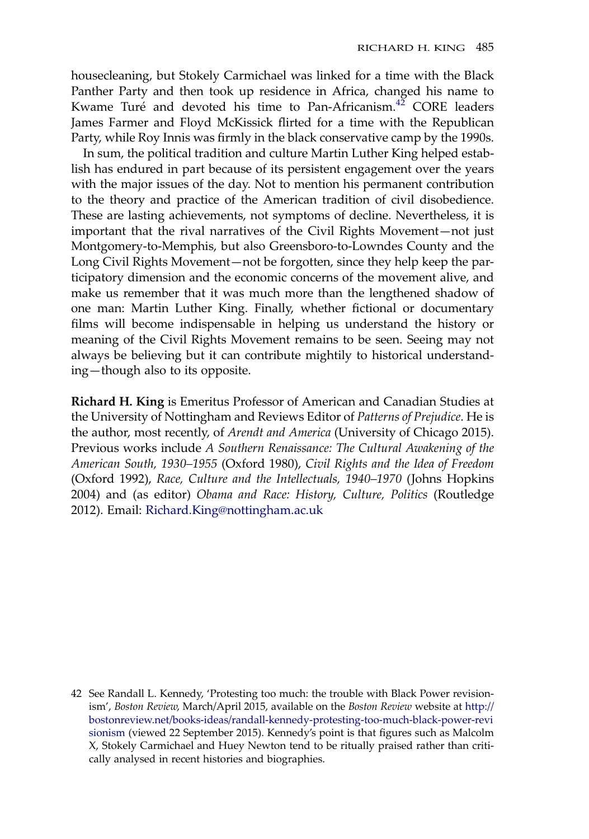housecleaning, but Stokely Carmichael was linked for a time with the Black Panther Party and then took up residence in Africa, changed his name to Kwame Turé and devoted his time to Pan-Africanism.<sup>42</sup> CORE leaders James Farmer and Floyd McKissick flirted for a time with the Republican Party, while Roy Innis was firmly in the black conservative camp by the 1990s.

In sum, the political tradition and culture Martin Luther King helped establish has endured in part because of its persistent engagement over the years with the major issues of the day. Not to mention his permanent contribution to the theory and practice of the American tradition of civil disobedience. These are lasting achievements, not symptoms of decline. Nevertheless, it is important that the rival narratives of the Civil Rights Movement—not just Montgomery-to-Memphis, but also Greensboro-to-Lowndes County and the Long Civil Rights Movement—not be forgotten, since they help keep the participatory dimension and the economic concerns of the movement alive, and make us remember that it was much more than the lengthened shadow of one man: Martin Luther King. Finally, whether fictional or documentary films will become indispensable in helping us understand the history or meaning of the Civil Rights Movement remains to be seen. Seeing may not always be believing but it can contribute mightily to historical understanding—though also to its opposite.

Richard H. King is Emeritus Professor of American and Canadian Studies at the University of Nottingham and Reviews Editor of Patterns of Prejudice. He is the author, most recently, of Arendt and America (University of Chicago 2015). Previous works include A Southern Renaissance: The Cultural Awakening of the American South, 1930–1955 (Oxford 1980), Civil Rights and the Idea of Freedom (Oxford 1992), Race, Culture and the Intellectuals, 1940–1970 (Johns Hopkins 2004) and (as editor) Obama and Race: History, Culture, Politics (Routledge 2012). Email: [Richard.King@nottingham.ac.uk](mailto:Richard.King@nottingham.ac.uk)

<sup>42</sup> See Randall L. Kennedy, 'Protesting too much: the trouble with Black Power revisionism', Boston Review, March/April 2015, available on the Boston Review website at [http://](http://bostonreview.net/books-ideas/randall-kennedy-protesting-too-much-black-power-revisionism) [bostonreview.net/books-ideas/randall-kennedy-protesting-too-much-black-power-revi](http://bostonreview.net/books-ideas/randall-kennedy-protesting-too-much-black-power-revisionism) [sionism](http://bostonreview.net/books-ideas/randall-kennedy-protesting-too-much-black-power-revisionism) (viewed 22 September 2015). Kennedy's point is that figures such as Malcolm X, Stokely Carmichael and Huey Newton tend to be ritually praised rather than critically analysed in recent histories and biographies.